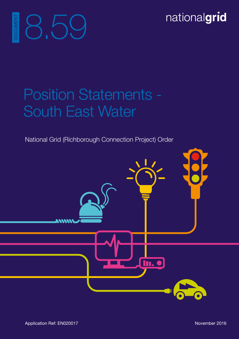nationalgrid

# Position Statements - South East Water

National Grid (Richborough Connection Project) Order

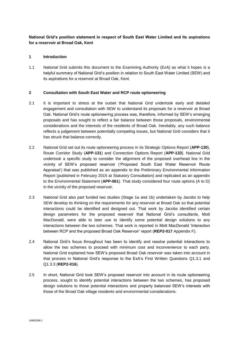# **National Grid's position statement in respect of South East Water Limited and its aspirations for a reservoir at Broad Oak, Kent**

#### **1 Introduction**

1.1 National Grid submits this document to the Examining Authority (ExA) as what it hopes is a helpful summary of National Grid's position in relation to South East Water Limited (SEW) and its aspirations for a reservoir at Broad Oak, Kent.

#### **2 Consultation with South East Water and RCP route optioneering**

- 2.1 It is important to stress at the outset that National Grid undertook early and detailed engagement and consultation with SEW to understand its proposals for a reservoir at Broad Oak. National Grid's route optioneering process was, therefore, informed by SEW's emerging proposals and has sought to reflect a fair balance between those proposals, environmental considerations and the interests of the residents of Broad Oak. Inevitably, any such balance reflects a judgement between potentially competing issues, but National Grid considers that it has struck that balance correctly.
- 2.2 National Grid set out its route optioneering process in its Strategic Options Report (**APP-130**), Route Corridor Study (**APP-131**) and Connection Options Report (**APP-133**). National Grid undertook a specific study to consider the alignment of the proposed overhead line in the vicinity of SEW's proposed reservoir ('Proposed South East Water Reservoir Route Appraisal') that was published as an appendix to the Preliminary Environmental Information Report (published in February 2015 at Statutory Consultation) and replicated as an appendix to the Environmental Statement (**APP-061**). That study considered four route options (A to D) in the vicinity of the proposed reservoir.
- 2.3 National Grid also part funded two studies (Stage 1a and 1b) undertaken by Jacobs to help SEW develop its thinking on the requirements for any reservoir at Broad Oak so that potential interactions could be identified and designed out. That work by Jacobs identified certain design parameters for the proposed reservoir that National Grid's consultants, Mott MacDonald, were able to later use to identify some potential design solutions to any interactions between the two schemes. That work is reported in Mott MacDonald 'Interaction between RCP and the proposed Broad Oak Reservoir' report (**REP2-017** Appendix F).
- 2.4 National Grid's focus throughout has been to identify and resolve potential interactions to allow the two schemes to proceed with minimum cost and inconvenience to each party. National Grid explained how SEW's proposed Broad Oak reservoir was taken into account in that process in National Grid's response to the ExA's First Written Questions Q1.3.1 and Q1.3.3 (**REP2-016**).
- 2.5 In short, National Grid took SEW's proposed reservoir into account in its route optioneering process, sought to identify potential interactions between the two schemes, has proposed design solutions to those potential interactions and properly balanced SEW's interests with those of the Broad Oak village residents and environmental considerations.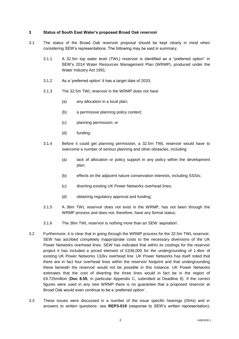#### **3 Status of South East Water's proposed Broad Oak reservoir**

- 3.1 The status of the Broad Oak reservoir proposal should be kept clearly in mind when considering SEW's representations. The following may be said in summary;
	- 3.1.1 A 32.5m top water level (TWL) reservoir is identified as a "preferred option" in SEW's 2014 Water Resources Management Plan (WRMP), produced under the Water Industry Act 1991;
	- 3.1.2 As a 'preferred option' it has a target date of 2033;
	- 3.1.3 The 32.5m TWL reservoir in the WRMP does not have
		- (a) any allocation in a local plan;
		- (b) a permissive planning policy context;
		- (c) planning permission; or
		- (d) funding;
	- 3.1.4 Before it could get planning permission, a 32.5m TWL reservoir would have to overcome a number of serious planning and other obstacles, including
		- (a) lack of allocation or policy support in any policy within the development plan;
		- (b) effects on the adjacent nature conservation interests, including SSSIs;
		- (c) diverting existing UK Power Networks overhead lines;
		- (d) obtaining regulatory approval and funding;
	- 3.1.5 A 36m TWL reservoir does not exist in the WRMP, has not been through the WRMP process and does not, therefore, have any formal status;
	- 3.1.6 The 36m TWL reservoir is nothing more than an SEW 'aspiration'.
- 3.2 Furthermore, it is clear that in going through the WRMP process for the 32.5m TWL reservoir, SEW has ascribed completely inappropriate costs to the necessary diversions of the UK Power Networks overhead lines. SEW has indicated that within its costings for the reservoir project it has included a priced element of £336,000 for the undergrounding of 1.4km of existing UK Power Networks 132kv overhead line. UK Power Networks has itself noted that there are in fact four overhead lines within the reservoir footprint and that undergrounding these beneath the reservoir would not be possible in this instance. UK Power Networks estimates that the cost of diverting the three lines would in fact be in the region of £9.725million (**Doc 8.55**, in particular Appendix C, submitted at Deadline 8). If the correct figures were used in any new WRMP there is no guarantee that a proposed reservoir at Broad Oak would even continue to be a 'preferred option'.
- 3.3 These issues were discussed in a number of the issue specific hearings (ISHs) and in answers to written questions: see **REP3-019** (response to SEW's written representation);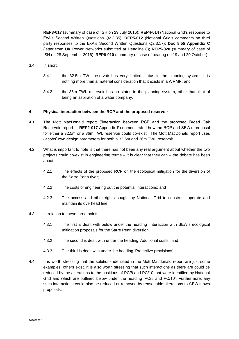**REP3-017** (summary of case of ISH on 29 July 2016); **REP4-014** (National Grid's response to ExA's Second Written Questions Q2.3.35); **REP5-012** (National Grid's comments on third party responses to the ExA's Second Written Questions Q2.3.17); **Doc 8.55 Appendix C** (letter from UK Power Networks submitted at Deadline 8); **REP5-020** (summary of case of ISH on 28 September 2016); **REP6-010** (summary of case of hearing on 19 and 20 October).

- 3.4 In short,
	- 3.4.1 the 32.5m TWL reservoir has very limited status in the planning system, it is nothing more than a material consideration that it exists in a WRMP; and
	- 3.4.2 the 36m TWL reservoir has no status in the planning system, other than that of being an aspiration of a water company.

#### **4 Physical interaction between the RCP and the proposed reservoir**

- 4.1 The Mott MacDonald report ('Interaction between RCP and the proposed Broad Oak Reservoir' report – **REP2-017** Appendix F) demonstrated how the RCP and SEW's proposal for either a 32.5m or a 36m TWL reservoir could co-exist. The Mott MacDonald report uses Jacobs' own design parameters for both a 32.5m and 36m TWL reservoir.
- 4.2 What is important to note is that there has not been any real argument about whether the two projects could co-exist in engineering terms – it is clear that they can – the debate has been about:
	- 4.2.1 The effects of the proposed RCP on the ecological mitigation for the diversion of the Sarre Penn river;
	- 4.2.2 The costs of engineering out the potential interactions; and
	- 4.2.3 The access and other rights sought by National Grid to construct, operate and maintain its overhead line.
- 4.3 In relation to these three points:
	- 4.3.1 The first is dealt with below under the heading 'Interaction with SEW's ecological mitigation proposals for the Sarre Penn diversion':
	- 4.3.2 The second is dealt with under the heading 'Additional costs'; and
	- 4.3.3 The third is dealt with under the heading 'Protective provisions'.
- 4.4 It is worth stressing that the solutions identified in the Mott Macdonald report are just some examples; others exist. It is also worth stressing that such interactions as there are could be reduced by the alterations to the positions of PC/8 and PC/10 that were identified by National Grid and which are outlined below under the heading 'PC/8 and PC/10'. Furthermore, any such interactions could also be reduced or removed by reasonable alterations to SEW's own proposals.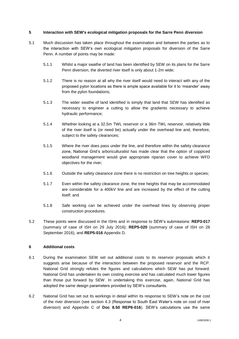## **5 Interaction with SEW's ecological mitigation proposals for the Sarre Penn diversion**

- 5.1 Much discussion has taken place throughout the examination and between the parties as to the interaction with SEW's own ecological mitigation proposals for diversion of the Sarre Penn. A number of points may be made:
	- 5.1.1 Whilst a major swathe of land has been identified by SEW on its plans for the Sarre Penn diversion, the diverted river itself is only about 1-2m wide;
	- 5.1.2 There is no reason at all why the river itself would need to interact with any of the proposed pylon locations as there is ample space available for it to 'meander' away from the pylon foundations;
	- 5.1.3 The wider swathe of land identified is simply that land that SEW has identified as necessary to engineer a cutting to allow the gradients necessary to achieve hydraulic performance;
	- 5.1.4 Whether looking at a 32.5m TWL reservoir or a 36m TWL reservoir, relatively little of the river itself is (or need be) actually under the overhead line and, therefore, subject to the safety clearances;
	- 5.1.5 Where the river does pass under the line, and therefore within the safety clearance zone, National Grid's arboriculturalist has made clear that the option of coppiced woodland management would give appropriate riparian cover to achieve WFD objectives for the river;
	- 5.1.6 Outside the safety clearance zone there is no restriction on tree heights or species;
	- 5.1.7 Even within the safety clearance zone, the tree heights that may be accommodated are considerable for a 400kV line and are increased by the effect of the cutting itself; and
	- 5.1.8 Safe working can be achieved under the overhead lines by observing proper construction procedures.
- 5.2 These points were discussed in the ISHs and in response to SEW's submissions: **REP3-017** (summary of case of ISH on 29 July 2016); **REP5-020** (summary of case of ISH on 28 September 2016), and **REP5-016** Appendix D.

# **6 Additional costs**

- 6.1 During the examination SEW set out additional costs to its reservoir proposals which it suggests arise because of the interaction between the proposed reservoir and the RCP. National Grid strongly refutes the figures and calculations which SEW has put forward. National Grid has undertaken its own costing exercise and has calculated much lower figures than those put forward by SEW. In undertaking this exercise, again, National Grid has adopted the same design parameters provided by SEW's consultants.
- 6.2 National Grid has set out its workings in detail within its response to SEW's note on the cost of the river diversion (see section 4.3 (Response to South East Water's note on cost of river diversion) and Appendix C of **Doc 8.50 REP6-016**). SEW's calculations use the same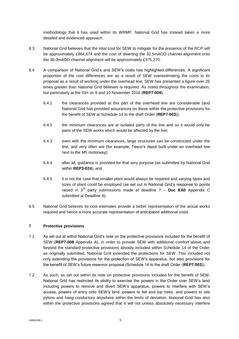methodology that it has used within its WRMP. National Grid has instead taken a more detailed and evidenced approach.

- 6.3 National Grid believes that the total cost for SEW to mitigate for the presence of the RCP will be approximately £984,674 and the cost of diverting the 32.5mAOD channel alignment onto the 36.0mAOD channel alignment will be approximately £375,270.
- 6.4 A comparison of National Grid's and SEW's costs has highlighted differences. A significant proportion of the cost differences are as a result of SEW overestimating the costs to its proposal as a result of working under the overhead line; SEW has presented a figure over 25 times greater than National Grid believes is required. As noted throughout the examination, but particularly at the ISH on 9 and 10 November 2016 (**REP7-009**);
	- 6.4.1 the clearances provided at this part of the overhead line are considerable (and National Grid has provided assurances on these within the protective provisions for the benefit of SEW at Schedule 14 to the draft Order (**REP7-003**));
	- 6.4.2 the minimum clearances are at isolated parts of the line and so it would only be parts of the SEW works which would be affected by the line;
	- 6.4.3 even with the minimum clearances, large structures can be constructed under the line, and very often are (for example, Tesco's depot built under an overhead line next to the M5 motorway);
	- 6.4.4 after all, guidance is provided for that very purpose (as submitted by National Grid within **REP3-024**); and
	- 6.4.5 it is not the case that smaller plant would always be required and varying types and sizes of plant could be employed (as set out in National Grid's response to points raised in 3rd party submissions made at deadline 7 – **Doc 8.60** Appendix C submitted at Deadline 8).
- 6.5 National Grid believes its cost estimates provide a better representation of the actual works required and hence a more accurate representation of anticipated additional costs.

## **7 Protective provisions**

- 7.1 As set out at within National Grid's note on the protective provisions included for the benefit of SEW (**REP7-008** Appendix A), in order to provide SEW with additional comfort above and beyond the standard protective provisions already included within Schedule 14 of the Order as originally submitted, National Grid extended the protections for SEW. This included not only extending the provisions for the protection of SEW's apparatus, but also provisions for the benefit of SEW's future reservoir proposal (Schedule 14 to the draft Order (**REP7-003**)).
- 7.2 As such, as set out within its note on protective provisions included for the benefit of SEW, National Grid has restricted its ability to exercise the powers in the Order over SEW's land including powers to remove and divert SEW's apparatus, powers to interfere with SEW's access, powers of entry onto SEW's land, powers to fell and lop trees, and powers to site pylons and hang conductors anywhere within the limits of deviation. National Grid has also within the protective provisions agreed that it will not unless absolutely necessary interfere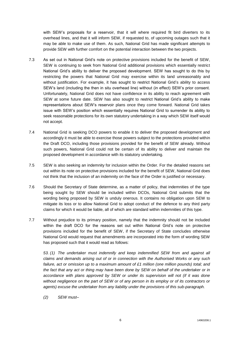with SEW's proposals for a reservoir, that it will where required fit bird diverters to its overhead lines, and that it will inform SEW, if requested to, of upcoming outages such that it may be able to make use of them. As such, National Grid has made significant attempts to provide SEW with further comfort on the potential interaction between the two projects.

- 7.3 As set out in National Grid's note on protective provisions included for the benefit of SEW, SEW is continuing to seek from National Grid additional provisions which essentially restrict National Grid's ability to deliver the proposed development. SEW has sought to do this by restricting the powers that National Grid may exercise within its land unreasonably and without justification. For example, it has sought to restrict National Grid's ability to access SEW's land (including the then in situ overhead line) without (in effect) SEW's prior consent. Unfortunately, National Grid does not have confidence in its ability to reach agreement with SEW at some future date. SEW has also sought to restrict National Grid's ability to make representations about SEW's reservoir plans once they come forward. National Grid takes issue with SEW's position which essentially requires National Grid to surrender its ability to seek reasonable protections for its own statutory undertaking in a way which SEW itself would not accept.
- 7.4 National Grid is seeking DCO powers to enable it to deliver the proposed development and accordingly it must be able to exercise those powers subject to the protections provided within the Draft DCO, including those provisions provided for the benefit of SEW already. Without such powers, National Grid could not be certain of its ability to deliver and maintain the proposed development in accordance with its statutory undertaking.
- 7.5 SEW is also seeking an indemnity for inclusion within the Order. For the detailed reasons set out within its note on protective provisions included for the benefit of SEW, National Grid does not think that the inclusion of an indemnity on the face of the Order is justified or necessary.
- 7.6 Should the Secretary of State determine, as a matter of policy, that indemnities of the type being sought by SEW should be included within DCOs, National Grid submits that the wording being proposed by SEW is unduly onerous. It contains no obligation upon SEW to mitigate its loss or to allow National Grid to adopt conduct of the defence to any third party claims for which it would be liable, all of which are standard within indemnities of this type.
- 7.7 Without prejudice to its primary position, namely that the indemnity should not be included within the draft DCO for the reasons set out within National Grid's note on protective provisions included for the benefit of SEW, if the Secretary of State concludes otherwise National Grid would request that amendments are incorporated into the form of wording SEW has proposed such that it would read as follows:

*53. (1) The undertaker must indemnify and keep indemnified SEW from and against all claims and demands arising out of or in connection with the Authorised Works or any such failure, act or omission up to a maximum amount of £1 million (one million pounds) total; and the fact that any act or thing may have been done by SEW on behalf of the undertaker or in accordance with plans approved by SEW or under its supervision will not (if it was done without negligence on the part of SEW or of any person in its employ or of its contractors or agents) excuse the undertaker from any liability under the provisions of this sub-paragraph.*

*(2) SEW must–*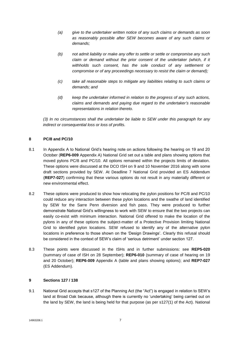- *(a) give to the undertaker written notice of any such claims or demands as soon as reasonably possible after SEW becomes aware of any such claims or demands;*
- *(b) not admit liability or make any offer to settle or settle or compromise any such*  claim or demand without the prior consent of the undertaker (which, if it *withholds such consent, has the sole conduct of any settlement or compromise or of any proceedings necessary to resist the claim or demand);*
- *(c) take all reasonable steps to mitigate any liabilities relating to such claims or demands; and*
- *(d) keep the undertaker informed in relation to the progress of any such actions, claims and demands and paying due regard to the undertaker's reasonable representations in relation thereto.*

*(3) In no circumstances shall the undertaker be liable to SEW under this paragraph for any indirect or consequential loss or loss of profits.*

# **8 PC/8 and PC/10**

- 8.1 In Appendix A to National Grid's hearing note on actions following the hearing on 19 and 20 October (**REP6-009** Appendix A) National Grid set out a table and plans showing options that moved pylons PC/8 and PC/10. All options remained within the projects limits of deviation. These options were discussed at the DCO ISH on 9 and 10 November 2016 along with some draft sections provided by SEW. At Deadline 7 National Grid provided an ES Addendum (**REP7-027**) confirming that these various options do not result in any materially different or new environmental effect.
- 8.2 These options were produced to show how relocating the pylon positions for PC/8 and PC/10 could reduce any interaction between these pylon locations and the swathe of land identified by SEW for the Sarre Penn diversion and fish pass. They were produced to further demonstrate National Grid's willingness to work with SEW to ensure that the two projects can easily co-exist with minimum interaction. National Grid offered to make the location of the pylons in any of these options the subject-matter of a Protective Provision limiting National Grid to identified pylon locations. SEW refused to identify any of the alternative pylon locations in preference to those shown on the 'Design Drawings'. Clearly this refusal should be considered in the context of SEW's claim of 'serious detriment' under section 127.
- 8.3 These points were discussed in the ISHs and in further submissions: see **REP5-020** (summary of case of ISH on 28 September); **REP6-010** (summary of case of hearing on 19 and 20 October); **REP6-009** Appendix A (table and plans showing options); and **REP7-027**  (ES Addendum).

## **9 Sections 127 / 138**

9.1 National Grid accepts that s127 of the Planning Act (the "Act") is engaged in relation to SEW's land at Broad Oak because, although there is currently no 'undertaking' being carried out on the land by SEW, the land is being held for that purpose (as per s127(1) of the Act). National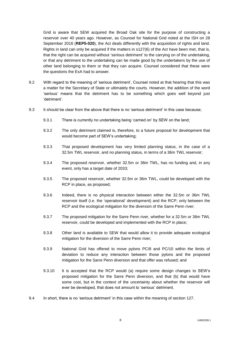Grid is aware that SEW acquired the Broad Oak site for the purpose of constructing a reservoir over 40 years ago. However, as Counsel for National Grid noted at the ISH on 28 September 2016 (**REP5-020**), the Act deals differently with the acquisition of rights and land. Rights in land can only be acquired if the matters in s127(6) of the Act have been met, that is, that the right can be acquired without 'serious detriment' to the carrying on of the undertaking, or that any detriment to the undertaking can be made good by the undertakers by the use of other land belonging to them or that they can acquire. Counsel considered that these were the questions the ExA had to answer.

- 9.2 With regard to the meaning of 'serious detriment', Counsel noted at that hearing that this was a matter for the Secretary of State or ultimately the courts. However, the addition of the word 'serious' means that the detriment has to be something which goes well beyond just 'detriment'.
- 9.3 It should be clear from the above that there is no 'serious detriment' in this case because;
	- 9.3.1 There is currently no undertaking being 'carried on' by SEW on the land;
	- 9.3.2 The only detriment claimed is, therefore, to a future proposal for development that would become part of SEW's undertaking;
	- 9.3.3 That proposed development has very limited planning status, in the case of a 32.5m TWL reservoir, and no planning status, in terms of a 36m TWL reservoir;
	- 9.3.4 The proposed reservoir, whether 32.5m or 36m TWL, has no funding and, in any event, only has a target date of 2033;
	- 9.3.5 The proposed reservoir, whether 32.5m or 36m TWL, could be developed with the RCP in place, as proposed;
	- 9.3.6 Indeed, there is no physical interaction between either the 32.5m or 36m TWL reservoir itself (i.e. the 'operational' development) and the RCP; only between the RCP and the ecological mitigation for the diversion of the Sarre Penn river;
	- 9.3.7 The proposed mitigation for the Sarre Penn river, whether for a 32.5m or 36m TWL reservoir, could be developed and implemented with the RCP in place;
	- 9.3.8 Other land is available to SEW that would allow it to provide adequate ecological mitigation for the diversion of the Sarre Penn river;
	- 9.3.9 National Grid has offered to move pylons PC/8 and PC/10 within the limits of deviation to reduce any interaction between those pylons and the proposed mitigation for the Sarre Penn diversion and that offer was refused; and
	- 9.3.10 It is accepted that the RCP would (a) require some design changes to SEW's proposed mitigation for the Sarre Penn diversion, and that (b) that would have some cost, but in the context of the uncertainty about whether the reservoir will ever be developed, that does not amount to 'serious' detriment.
- 9.4 In short, there is no 'serious detriment' in this case within the meaning of section 127.